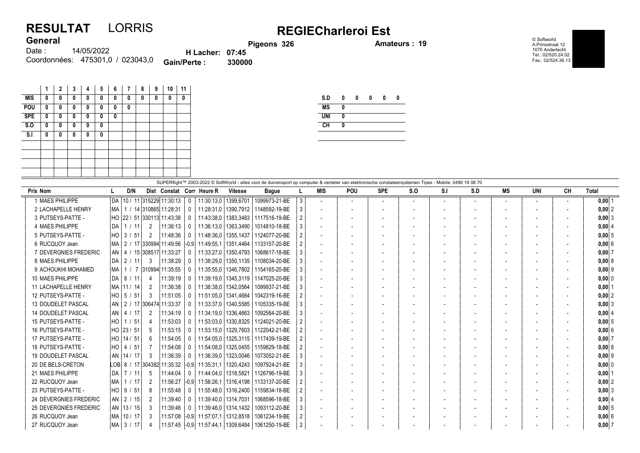## RESULTAT LORRIS REGIECharleroi Est **General**

external process of the set of the set of the set of the set of the set of the set of the set of the set of the set of the set of the set of the set of the set of the set of the set of the set of the set of the set of the

© Softworld A.Prinsstraat 12 1070 Anderlecht Tel.: 02/520.24.02 Fax.: 02/524.36.13

| <b>VUIVIUI</b> |                                  |                        | Pi(    |
|----------------|----------------------------------|------------------------|--------|
| Date : :       | 14/05/2022                       | <b>H</b> Lacher: 07:45 |        |
|                | Coordonnées: 475301,0 / 023043,0 | <b>Gain/Perte:</b>     | 330000 |

|            | 1 | $\mathbf{2}$ | 3 | 4 | 5 | 6 | 7 | 8 | 9 | 10 | 11 |
|------------|---|--------------|---|---|---|---|---|---|---|----|----|
| <b>MIS</b> | 0 | 0            | 0 | 0 | 0 | 0 | 0 | 0 | 0 | 0  | 0  |
| POU        | 0 | 0            | 0 | 0 | 0 | 0 | 0 |   |   |    |    |
| <b>SPE</b> | 0 | 0            | 0 | 0 | 0 | 0 |   |   |   |    |    |
| S.0        | 0 | 0            | 0 | 0 | 0 |   |   |   |   |    |    |
| S.I        | 0 | 0            | 0 | 0 | 0 |   |   |   |   |    |    |
|            |   |              |   |   |   |   |   |   |   |    |    |
|            |   |              |   |   |   |   |   |   |   |    |    |
|            |   |              |   |   |   |   |   |   |   |    |    |
|            |   |              |   |   |   |   |   |   |   |    |    |
|            |   |              |   |   |   |   |   |   |   |    |    |

| S.D        | 0 | 0 | 0 | 0 | Λ |
|------------|---|---|---|---|---|
| <b>MS</b>  | 0 |   |   |   |   |
| <b>UNI</b> | 0 |   |   |   |   |
| CH         | Λ |   |   |   |   |
|            |   |   |   |   |   |

|                               |           |     |              |                |                                 |        |                           |                        | SUPERflight™ 2003-2022 © SoftWorld - alles voor de duivensport op computer & verdeler van elektronische constateersystemen Tipes - Mobile: 0490 19 08 70 |   |                          |                |                          |                          |      |     |                          |     |    |            |
|-------------------------------|-----------|-----|--------------|----------------|---------------------------------|--------|---------------------------|------------------------|----------------------------------------------------------------------------------------------------------------------------------------------------------|---|--------------------------|----------------|--------------------------|--------------------------|------|-----|--------------------------|-----|----|------------|
| <b>Prix Nom</b>               |           |     | D/N          |                |                                 |        | Dist Constat Corr Heure R | <b>Vitesse</b>         | <b>Bague</b>                                                                                                                                             |   | <b>MIS</b>               | <b>POU</b>     | <b>SPE</b>               | S.O                      | -S.I | S.D | MS                       | UNI | CН | Total      |
| 1 MAES PHILIPPE               | DA        |     |              |                | 10 / 11 315229 11:30:13         |        | 11:30:13,0   1399,6701    |                        | 1099973-21-BE                                                                                                                                            | 3 |                          | $\overline{a}$ | $\overline{\phantom{a}}$ | $\overline{\phantom{a}}$ |      |     | $\overline{\phantom{a}}$ |     |    | $0,00$ 1   |
| 2 LACHAPELLE HENRY            | MA        |     |              |                | / 14 310865 11:28:31            |        | 11:28:31.0                |                        | 1390.7912 1148592-19-BE                                                                                                                                  |   | $\overline{\phantom{a}}$ |                |                          |                          |      |     | $\overline{\phantom{a}}$ |     |    | $0,00$ 2   |
| 3 PUTSEYS-PATTE -             |           |     |              |                | HO  22 / 51  330113  11:43:38   |        | 11:43:38.0                | 1383,3483              | 1117516-19-BE                                                                                                                                            |   | $\blacksquare$           |                |                          |                          |      |     | $\overline{\phantom{a}}$ |     |    | $0,00$ 3   |
| 4 MAES PHILIPPE               | DA        |     | / 11         | 2              | 11:36:13                        |        | 11:36:13.0                | 1363.3490              | 1014810-18-BE                                                                                                                                            |   | $\overline{\phantom{a}}$ |                |                          |                          |      |     | $\overline{\phantom{a}}$ |     |    | 0,00   4   |
| 5 PUTSEYS-PATTE -             |           |     |              | $\mathfrak{D}$ | 11:48:36                        |        | 11:48:36.0                |                        | 1355.1437 1124077-20-BE                                                                                                                                  |   |                          |                |                          |                          |      |     |                          |     |    | 0,005      |
| 6 RUCQUOY Jean                | MA.       |     |              |                | 2 / 17  330994  11:49:56  -0.9  |        | 11:49:55.1                | 1351.4464              | 1133157-20-BE                                                                                                                                            |   | $\overline{a}$           |                |                          |                          |      |     |                          |     |    | 0,006      |
| 7 DEVERGNIES FREDERIC         |           |     |              |                | AN   4 / 15   308517   11:33:27 |        | 11:33:27.0                | 1350,4793              | 1068617-18-BE                                                                                                                                            |   | $\overline{\phantom{a}}$ |                |                          |                          |      |     |                          |     |    | $0,00$ 7   |
| 8 MAES PHILIPPE               | <b>DA</b> |     | 2 / 11       | 3              | 11:38:29                        |        | 11:38:29.0                |                        | 1350.1135   1108034-20-BE                                                                                                                                |   | $\overline{\phantom{a}}$ |                |                          |                          |      |     |                          |     |    | 0,008      |
| 9 ACHOUKHI MOHAMED            | MA        |     |              |                | / 7 310994 11:35:55             |        | 11:35:55.0                |                        | 1346.7802   1154165-20-BE                                                                                                                                |   | $\overline{\phantom{a}}$ |                |                          |                          |      |     | $\overline{\phantom{a}}$ |     |    | $0,00$  9  |
| 10 MAES PHILIPPE              | DA        | 8 / | / 11         | 4              | 11:39:19                        |        |                           | 11:39:19.0   1345.3119 | 1147025-20-BE                                                                                                                                            |   |                          |                |                          |                          |      |     |                          |     |    | 0.00 0     |
| <b>11 LACHAPELLE HENRY</b>    |           |     | MA   11 / 14 | 2              | 11:36:38                        |        | 11:36:38.0                | 1342.0564              | 1099937-21-BE                                                                                                                                            |   | $\overline{\phantom{a}}$ |                |                          |                          |      |     | $\overline{\phantom{a}}$ |     |    | $0,00$   1 |
| 12 PUTSEYS-PATTE -            |           |     | HO   5 / 51  | -3             | 11:51:05                        |        |                           | 11:51:05.0   1341.4684 | 1042319-16-BE                                                                                                                                            |   |                          |                |                          |                          |      |     |                          |     |    | $0,00$ 2   |
| 13 DOUDELET PASCAL            |           |     |              |                | AN   2 / 17   306474   11:33:37 |        | 11:33:37,0                | 1340.5585              | 1105335-19-BE                                                                                                                                            |   | $\overline{\phantom{a}}$ |                |                          |                          |      |     | $\overline{\phantom{a}}$ |     |    | $0,00$ 3   |
| <b>14 DOUDELET PASCAL</b>     |           |     | AN   4 / 17  | 2              | 11:34:19                        |        | 11:34:19.0                | 1336.4663              | 1092564-20-BE                                                                                                                                            |   | $\overline{\phantom{a}}$ |                |                          |                          |      |     |                          |     |    | $0,00$ 4   |
| 15 PUTSEYS-PATTE -            |           |     | HO   1 / 51  | 4              | 11:53:03                        |        | 11:53:03.0                |                        | 1330,8325   1124021-20-BE                                                                                                                                |   | $\overline{\phantom{a}}$ |                |                          |                          |      |     |                          |     |    | $0,00$ 5   |
| 16 PUTSEYS-PATTE -            |           |     | HO 23 / 51   | .5             | 11:53:15                        |        |                           |                        | 11:53:15.0   1329.7603   1122042-21-BE                                                                                                                   |   |                          |                |                          |                          |      |     |                          |     |    | 0,006      |
| 17 PUTSEYS-PATTE -            |           |     | HO 14 / 51   | 6              | 11:54:05                        |        | 11:54:05.0                |                        | 1325.3115   1117439-19-BE                                                                                                                                |   | $\overline{\phantom{a}}$ |                |                          |                          |      |     |                          |     |    | 0,007      |
| 18 PUTSEYS-PATTE -            |           |     | HO   4 / 51  | -7             | 11:54:08                        |        | 11:54:08.0                |                        | 1325.0455   1159829-18-BE                                                                                                                                |   | $\overline{\phantom{a}}$ |                |                          |                          |      |     |                          |     |    | 0,008      |
| 19 DOUDELET PASCAL            |           |     | AN 14 / 17   | 3              | 11:36:39                        |        | 11:36:39.0                | 1323.0046              | 1073052-21-BE                                                                                                                                            |   |                          |                |                          |                          |      |     |                          |     |    | $0,00$ 9   |
| 20 DE BELS-CRETON             |           |     |              |                | LOB 8 / 17 304382 11:35:32 -0.9 |        | 11:35:31.1                | 1320.4243              | 1097924-21-BE                                                                                                                                            |   |                          |                |                          |                          |      |     |                          |     |    | 0.00 0     |
| 21 MAES PHILIPPE              | DA        |     | 7 / 11       | 5              | 11:44:04                        |        | 11:44:04.0                | 1318,5821              | 1126796-19-BE                                                                                                                                            |   | $\overline{\phantom{a}}$ |                |                          |                          |      |     |                          |     |    | $0,00$   1 |
| 22 RUCQUOY Jean               | <b>MA</b> |     | 1/17         | 2              | 11:56:27                        | $-0.9$ | 11:56:26.1                | 1316.4198              | 1133137-20-BE                                                                                                                                            |   | $\overline{\phantom{a}}$ |                |                          |                          |      |     | $\overline{\phantom{a}}$ |     |    | $0,00$  2  |
| 23 PUTSEYS-PATTE -            |           |     | HO 3 / 51    | 8              | 11:55:48                        |        | 11:55:48.0                | 1316.2400              | 1159834-18-BE                                                                                                                                            |   | $\overline{\phantom{a}}$ |                |                          |                          |      |     |                          |     |    | $0,00$ 3   |
| 24 DEVERGNIES FREDERIC        |           |     | AN 2 / 15    | 2              | 11:39:40                        |        | 11:39:40,0                | 1314,7031              | 1068596-18-BE                                                                                                                                            |   | $\overline{\phantom{a}}$ |                |                          |                          |      |     | $\overline{\phantom{a}}$ |     |    | 0,00   4   |
| <b>25 DEVERGNIES FREDERIC</b> |           |     | AN   13 / 15 | 3              | 11:39:46                        |        | 11:39:46.0                | 1314,1432              | 1093112-20-BE                                                                                                                                            |   | $\overline{\phantom{a}}$ |                |                          |                          |      |     | $\overline{\phantom{a}}$ |     |    | $0,00$ 5   |
| 26 RUCQUOY Jean               |           |     | MA 10 / 17   | 3              | 11:57:08 -0.9                   |        | 11:57:07.1                | 1312.8518              | 1061234-19-BE                                                                                                                                            |   |                          |                |                          |                          |      |     |                          |     |    | 0,006      |
| 27 RUCQUOY Jean               |           |     | MA 3 / 17    |                | 11:57:45 -0.9                   |        | 11:57:44,1                | 1309,6484              | 1061250-19-BE                                                                                                                                            |   |                          |                |                          |                          |      |     |                          |     |    | $0,00$ 7   |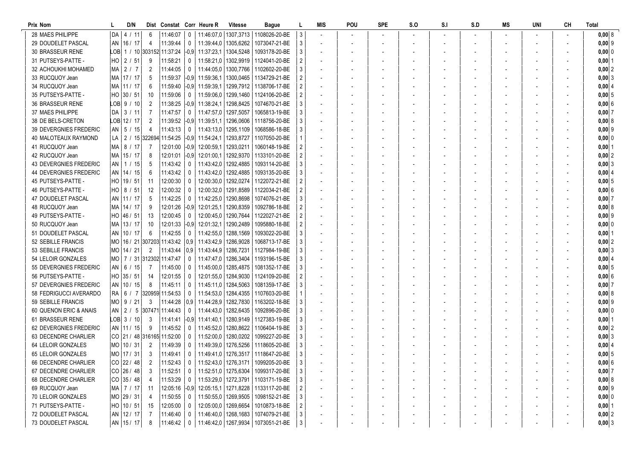| Prix Nom                      |      | D/N           |                         | Dist Constat Corr Heure R      |                         |                                                               | <b>Vitesse</b>                                            | Bague                                            |                           | MIS | POU | <b>SPE</b> | S.O | S.I | S.D | MS | UNI | CН | <b>Total</b>  |
|-------------------------------|------|---------------|-------------------------|--------------------------------|-------------------------|---------------------------------------------------------------|-----------------------------------------------------------|--------------------------------------------------|---------------------------|-----|-----|------------|-----|-----|-----|----|-----|----|---------------|
| 28 MAES PHILIPPE              |      | DA   4 / 11   | 6                       | 11:46:07                       | $\overline{\mathbf{0}}$ |                                                               | 11:46:07.0   1307.3713                                    | 1108026-20-BE                                    | 3                         |     |     |            |     |     |     |    |     |    | 0,008         |
| 29 DOUDELET PASCAL            |      | AN 16 / 17    | 4                       | 11:39:44                       | 0                       | 11:39:44.0   1305.6262                                        |                                                           | 1073047-21-BE                                    | 3                         |     |     |            |     |     |     |    |     |    | $0,00$ 9      |
| <b>30 BRASSEUR RENE</b>       |      |               |                         |                                |                         | $\text{LOB}$ 1 / 10 303152 11:37:24 -0,9 11:37:23,1 1304,5248 |                                                           | 1093178-20-BE                                    | 3                         |     |     |            |     |     |     |    |     |    | $0,00$ 0      |
| 31 PUTSEYS-PATTE -            |      | HO 2 / 51     | -9                      | 11:58:21                       | 0                       |                                                               | 11:58:21,0   1302,9919                                    | 1124041-20-BE                                    | 2                         |     |     |            |     |     |     |    |     |    | $0,00$  1     |
| 32 ACHOUKHI MOHAMED           | MA I | 2/7           | 2                       | 11:44:05                       | 0                       |                                                               | 11:44:05.0   1300.7766                                    | 1102602-20-BE                                    | 3                         |     |     |            |     |     |     |    |     |    | $0,00$ 2      |
| 33 RUCQUOY Jean               |      | MA   17 / 17  | 5                       | 11:59:37                       | $-0.9$                  |                                                               | 11:59:36,1   1300,0465                                    | 1134729-21-BE                                    | 2                         |     |     |            |     |     |     |    |     |    | $0,00$ 3      |
| 34 RUCQUOY Jean               |      | MA 111 / 17   | -6                      | 11:59:40                       | $ -0.9$                 | 11:59:39.1                                                    | 1299,7912                                                 | 1138706-17-BE                                    |                           |     |     |            |     |     |     |    |     |    | 0,0014        |
| 35 PUTSEYS-PATTE -            |      | HO 30 / 51    | -10                     | 11:59:06                       | 0                       |                                                               | 11:59:06.0   1299.1460                                    | 1124106-20-BE                                    | 2                         |     |     |            |     |     |     |    |     |    | 0,005         |
| <b>36 BRASSEUR RENE</b>       |      | LOB  9 / 10   | $\overline{2}$          | 11:38:25                       | $ -0,9 $                | 11:38:24,1   1298,8425                                        |                                                           | 1074670-21-BE                                    | 3                         |     |     |            |     |     |     |    |     |    | 0,006         |
| 37 MAES PHILIPPE              |      | DA 3 / 11     | -7                      | 11:47:57                       | 0                       | 11:47:57,0   1297,5057                                        |                                                           | 1065813-19-BE                                    |                           |     |     |            |     |     |     |    |     |    | 0,007         |
| 38 DE BELS-CRETON             |      | LOB 12 / 17   | 2                       | 11:39:52                       |                         |                                                               | $\left  -0.9 \right  11.39.51,1 \left  1296,0606 \right $ | 1118756-20-BE                                    | 3                         |     |     |            |     |     |     |    |     |    | 0,00 8        |
| <b>39 DEVERGNIES FREDERIC</b> |      | $AN$   5 / 15 | -4                      | 11:43:13                       | 0                       |                                                               | 11:43:13.0   1295.1109                                    | 1068586-18-BE                                    | 3                         |     |     |            |     |     |     |    |     |    | $0,00$  9     |
| 40 MALOTEAUX RAYMOND          | LA   |               |                         | 2 / 15 322694 11:54:25         | $ -0,9 $                | 11:54:24,1   1293,8727                                        |                                                           | 1107050-20-BE                                    |                           |     |     |            |     |     |     |    |     |    | 0,00 0        |
| 41 RUCQUOY Jean               | MA I | 8 / 17        |                         | 12:01:00                       | $ -0,9$                 | 12:00:59,1   1293,0211                                        |                                                           | 1060148-19-BE                                    | 2                         |     |     |            |     |     |     |    |     |    | $0,00$ 1      |
| 42 RUCQUOY Jean               |      | MA 15 / 17    | -8                      | 12:01:01                       | $ -0,9$                 |                                                               | 12:01:00.1   1292.9370                                    | 1133101-20-BE                                    | 2                         |     |     |            |     |     |     |    |     |    | 0,002         |
| <b>43 DEVERGNIES FREDERIC</b> |      | AN   1 / 15   | -5                      | 11:43:42                       | 0                       |                                                               | 11:43:42,0   1292,4885                                    | 1093114-20-BE                                    | 3                         |     |     |            |     |     |     |    |     |    | $0,00$ 3      |
| <b>44 DEVERGNIES FREDERIC</b> |      | AN   14 / 15  | -6                      | 11:43:42                       | 0                       |                                                               | 11:43:42,0   1292,4885                                    | 1093135-20-BE                                    | 3                         |     |     |            |     |     |     |    |     |    | 0,004         |
| 45 PUTSEYS-PATTE -            |      | HO 19 / 51    | -11                     | 12:00:30                       | $\mathbf 0$             |                                                               | 12:00:30.0   1292.0274                                    | 1122072-21-BE                                    | $\overline{2}$            |     |     |            |     |     |     |    |     |    | $0,00$ 5      |
| 46 PUTSEYS-PATTE -            |      | HO   8 / 51   | -12                     | 12:00:32                       | $\mathbf 0$             |                                                               | 12:00:32.0   1291.8589                                    | 1122034-21-BE                                    |                           |     |     |            |     |     |     |    |     |    | 0,006         |
| 47 DOUDELET PASCAL            |      | AN   11 / 17  | -5                      | 11:42:25                       | $\mathbf 0$             |                                                               | 11:42:25,0   1290,8698                                    | 1074076-21-BE                                    | 3                         |     |     |            |     |     |     |    |     |    | 0,007         |
| 48 RUCQUOY Jean               |      | MA   14 / 17  | -9                      | 12:01:26                       | $ -0.9$                 |                                                               | 12:01:25,1   1290,8359                                    | 1092786-18-BE                                    | 2                         |     |     |            |     |     |     |    |     |    | 0,00 8        |
| 49 PUTSEYS-PATTE -            |      | HO 46 / 51    | -13                     | 12:00:45                       | 0                       |                                                               | 12:00:45.0   1290.7644                                    | 1122027-21-BE                                    | $\overline{c}$            |     |     |            |     |     |     |    |     |    | $0,00$  9     |
| 50 RUCQUOY Jean               |      | MA   13 / 17  | -10                     | 12:01:33                       | $ -0,9$                 |                                                               | 12:01:32,1   1290,2489                                    | 1095880-18-BE                                    | 2                         |     |     |            |     |     |     |    |     |    | $0,00$ 0      |
| 51 DOUDELET PASCAL            |      | AN   10 / 17  | 6                       | 11:42:55                       | 0                       |                                                               | 11:42:55,0   1288,1569                                    | 1093022-20-BE                                    | 3                         |     |     |            |     |     |     |    |     |    | $0,00$ 1      |
| 52 SEBILLE FRANCIS            |      |               |                         | MO   16 / 21  307203  11:43:42 | $ 0,9\rangle$           | 11:43:42,9   1286,9028                                        |                                                           | 1068713-17-BE                                    | 3                         |     |     |            |     |     |     |    |     |    | $0,00$ 2      |
| 53 SEBILLE FRANCIS            |      | MO   14 / 21  | 2                       | 11:43:44                       | 0.9                     | 11:43:44,9   1286,7231                                        |                                                           | 1127984-19-BE                                    | 3                         |     |     |            |     |     |     |    |     |    | $0,00$ 3      |
| 54 LELOIR GONZALES            |      |               |                         | MO   7 / 31 312302 11:47:47    | 0                       | 11:47:47,0   1286,3404                                        |                                                           | 1193196-15-BE                                    | 3                         |     |     |            |     |     |     |    |     |    | $0,00$ 4      |
| 55 DEVERGNIES FREDERIC        |      | AN   6 / 15   | -7                      | 11:45:00                       | $\overline{\mathbf{0}}$ |                                                               | 11:45:00,0   1285,4875                                    | 1081352-17-BE                                    |                           |     |     |            |     |     |     |    |     |    | $0,00$ 5      |
| 56 PUTSEYS-PATTE -            |      | HO 35 / 51    | -14                     | 12:01:55                       | $\overline{\mathbf{0}}$ |                                                               | 12:01:55,0   1284,9030                                    | 1124109-20-BE                                    | 2                         |     |     |            |     |     |     |    |     |    | 0,006         |
| 57 DEVERGNIES FREDERIC        |      | AN 10 / 15    | 8                       | 11:45:11                       | $\overline{\mathbf{0}}$ |                                                               | 11:45:11.0   1284,5063                                    | 1081359-17-BE                                    | 3                         |     |     |            |     |     |     |    |     |    | $0,00$ 7      |
| 58 FEDRIGUCCI AVERARDO        |      |               |                         | RA   6 / 7 320959 11:54:53     | 0                       |                                                               | 11:54:53,0   1284,4355                                    | 1107603-20-BE                                    |                           |     |     |            |     |     |     |    |     |    | 0,008         |
| 59 SEBILLE FRANCIS            |      | MO  9 / 21    | -3                      | 11:44:28                       | 0.9                     | 11:44:28.9   1282.7830                                        |                                                           | 1163202-18-BE                                    | 3                         |     |     |            |     |     |     |    |     |    | $0,00$ 9      |
| 60 QUENON ERIC & ANAIS        |      |               |                         | AN   2 / 5   307471   11:44:43 | 0                       |                                                               | 11:44:43,0   1282,6435                                    | 1092896-20-BE                                    | 3                         |     |     |            |     |     |     |    |     |    | $0,000$ 0     |
| 61 BRASSEUR RENE              |      | LOB 3 / 10    | -3                      | 11:41:41                       | $ -0,9$                 |                                                               | 11:41:40.1   1280.9149                                    | 1127383-19-BE                                    | 3                         |     |     |            |     |     |     |    |     |    | $0,00$ 1      |
| <b>62 DEVERGNIES FREDERIC</b> |      | AN   11 / 15  | -9                      | 11:45:52                       | 0                       |                                                               | 11:45:52,0   1280,8622                                    | 1106404-19-BE                                    | 3                         |     |     |            |     |     |     |    |     |    | 0,002         |
| 63 DECENDRE CHARLIER          |      |               |                         | CO 21 / 48 316165 11:52:00     | 0                       |                                                               | 11:52:00.0   1280.0202                                    | 1099227-20-BE                                    | 3                         |     |     |            |     |     |     |    |     |    | $0,00$ 3      |
| 64 LELOIR GONZALES            |      | MO 10/31      | $\overline{2}$          | 11:49:39                       | 0                       |                                                               |                                                           | 11:49:39.0   1276.5256   1118605-20-BE           | 3                         |     |     |            |     |     |     |    |     |    | $0,00$ 4      |
| 65 LELOIR GONZALES            |      | MO 17 / 31    | $\overline{\mathbf{3}}$ | 11:49:41                       | $\overline{0}$          |                                                               |                                                           | 11:49:41.0   1276.3517   1118647-20-BE           | 3                         |     |     |            |     |     |     |    |     |    | $0,00 \mid 5$ |
| 66 DECENDRE CHARLIER          |      | CO 22/48      | $\overline{2}$          | 11:52:43                       |                         |                                                               |                                                           | 0   11:52:43,0   1276,3171   1099205-20-BE       | $\ensuremath{\mathsf{3}}$ |     |     |            |     |     |     |    |     |    | $0,00$ 6      |
| 67 DECENDRE CHARLIER          |      | CO 26/48      | 3                       | 11:52:51                       | $\overline{\mathbf{0}}$ |                                                               |                                                           | 11:52:51,0   1275,6304   1099317-20-BE           | 3                         |     |     |            |     |     |     |    |     |    | 0,007         |
| 68 DECENDRE CHARLIER          |      | CO 35/48      |                         | $11:53:29$ 0                   |                         |                                                               | 11:53:29,0 1272,3791                                      | 1103171-19-BE                                    | 3                         |     |     |            |     |     |     |    |     |    | 0,008         |
| 69 RUCQUOY Jean               |      | MA   7 / 17   | - 11                    |                                |                         |                                                               |                                                           | 12:05:16 -0,9 12:05:15,1 1271,8228 1133117-20-BE | 2                         |     |     |            |     |     |     |    |     |    | $0,00$ 9      |
| 70 LELOIR GONZALES            |      | MO 29 / 31    | -4                      | $11:50:55$ 0                   |                         |                                                               | 11:50:55,0 1269,9505                                      | 1098152-21-BE                                    | 3                         |     |     |            |     |     |     |    |     |    | $0,00$ 0      |
| 71 PUTSEYS-PATTE -            |      | HO 10 / 51    | - 15                    | $12:05:00$ 0                   |                         |                                                               | 12:05:00,0   1269,6654                                    | 1010873-18-BE                                    | 2                         |     |     |            |     |     |     |    |     |    | $0,00$  1     |
| 72 DOUDELET PASCAL            |      | AN   12 / 17  | 7                       | $11:46:40$ 0                   |                         |                                                               |                                                           | 11:46:40,0   1268,1683   1074079-21-BE           | 3                         |     |     |            |     |     |     |    |     |    | $0,00$ 2      |
| 73 DOUDELET PASCAL            |      | AN   15 / 17  | 8                       | $11:46:42$ 0                   |                         |                                                               |                                                           | 11:46:42,0   1267,9934   1073051-21-BE           | 3                         |     |     |            |     |     |     |    |     |    | $0,00$ 3      |